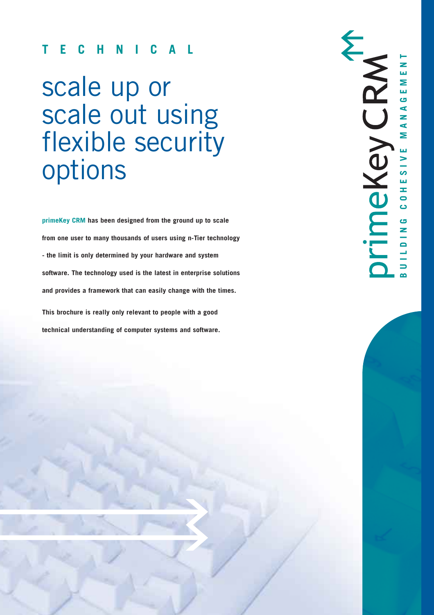# **TECHNICAL**

# scale up or scale out using flexible security options

**primeKey CRM has been designed from the ground up to scale from one user to many thousands of users using n-Tier technology - the limit is only determined by your hardware and system software. The technology used is the latest in enterprise solutions and provides a framework that can easily change with the times. This brochure is really only relevant to people with a good technical understanding of computer systems and software.**